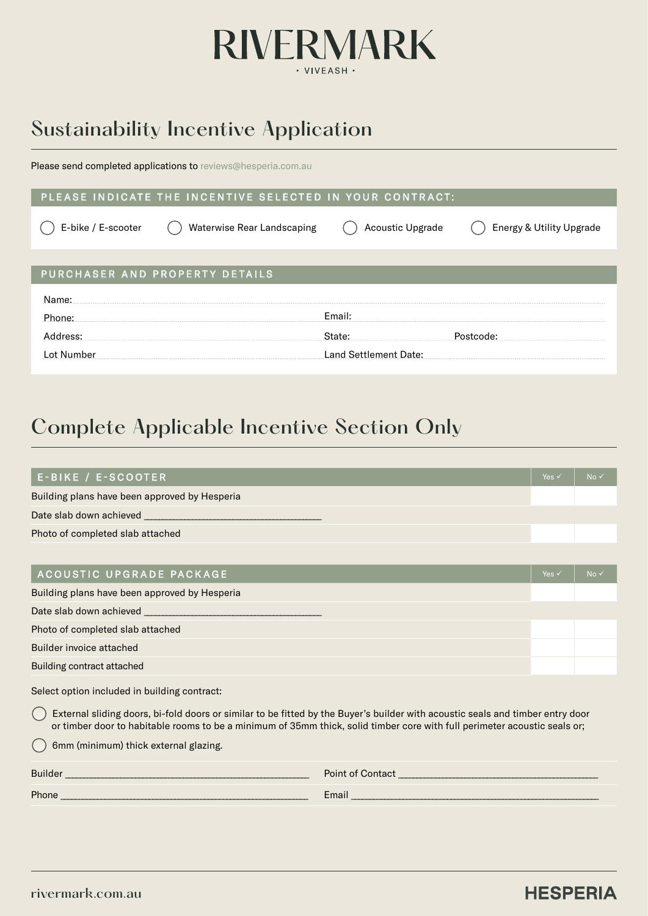

# Sustainability Incentive Application

Please send completed applications to [reviews@hesperia.com.au](mailto:reviews%40hesperia.com.au?subject=)

#### PLEASE INDICATE THE INCENTIVE SELECTED IN YOUR CONTRACT:

| E-bike / E-scooter | Waterwise Rear Landscaping     | Acoustic Upgrade      | Energy & Utility Upgrade |
|--------------------|--------------------------------|-----------------------|--------------------------|
|                    |                                |                       |                          |
|                    | PURCHASER AND PROPERTY DETAILS |                       |                          |
| Name:              |                                |                       |                          |
| Phone:             |                                | Email:                |                          |
| dress:             |                                | ate:                  |                          |
| Number             |                                | Land Settlement Date: |                          |

## Complete Applicable Incentive Section Only

| E-BIKE / E-SCOOTER                                                                                                                                                                                                                                          | Yes $\checkmark$ | No v |
|-------------------------------------------------------------------------------------------------------------------------------------------------------------------------------------------------------------------------------------------------------------|------------------|------|
| Building plans have been approved by Hesperia                                                                                                                                                                                                               |                  |      |
|                                                                                                                                                                                                                                                             |                  |      |
| Photo of completed slab attached                                                                                                                                                                                                                            |                  |      |
|                                                                                                                                                                                                                                                             |                  |      |
| ACOUSTIC UPGRADE PACKAGE                                                                                                                                                                                                                                    | Yes $\checkmark$ | No v |
| Building plans have been approved by Hesperia                                                                                                                                                                                                               |                  |      |
| Date slab down achieved ___________                                                                                                                                                                                                                         |                  |      |
| Photo of completed slab attached                                                                                                                                                                                                                            |                  |      |
| Builder invoice attached                                                                                                                                                                                                                                    |                  |      |
| Building contract attached                                                                                                                                                                                                                                  |                  |      |
| Select option included in building contract:                                                                                                                                                                                                                |                  |      |
| External sliding doors, bi-fold doors or similar to be fitted by the Buyer's builder with acoustic seals and timber entry door<br>or timber door to habitable rooms to be a minimum of 35mm thick, solid timber core with full perimeter acoustic seals or; |                  |      |
| 6mm (minimum) thick external glazing.                                                                                                                                                                                                                       |                  |      |

| D1    | Doin              |
|-------|-------------------|
|       |                   |
| Phone | $ \sim$<br>Lulall |

### **HESPERIA**